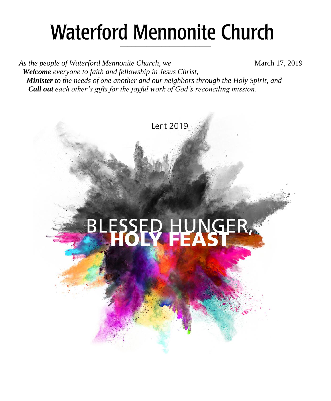## **Waterford Mennonite Church** \_\_\_\_\_\_\_\_\_\_\_\_\_\_\_\_\_\_\_\_\_\_\_\_

*As the people of Waterford Mennonite Church, we* March 17, 2019  *Welcome everyone to faith and fellowship in Jesus Christ, Minister to the needs of one another and our neighbors through the Holy Spirit, and Call out each other's gifts for the joyful work of God's reconciling mission.*

Lent 2019

# BLESSED HUNGER,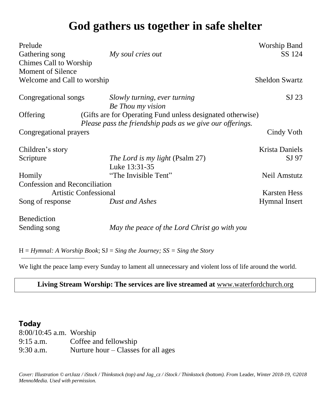### **God gathers us together in safe shelter**

| Prelude                                                                                                                             |                                                   | Worship Band          |
|-------------------------------------------------------------------------------------------------------------------------------------|---------------------------------------------------|-----------------------|
| Gathering song                                                                                                                      | My soul cries out                                 | SS 124                |
| Chimes Call to Worship                                                                                                              |                                                   |                       |
| Moment of Silence                                                                                                                   |                                                   |                       |
| Welcome and Call to worship                                                                                                         |                                                   | <b>Sheldon Swartz</b> |
| Congregational songs                                                                                                                | Slowly turning, ever turning<br>Be Thou my vision | $SI$ 23               |
| (Gifts are for Operating Fund unless designated otherwise)<br>Offering<br>Please pass the friendship pads as we give our offerings. |                                                   |                       |
| Congregational prayers                                                                                                              |                                                   | Cindy Voth            |
| Children's story                                                                                                                    |                                                   | <b>Krista Daniels</b> |
| Scripture                                                                                                                           | The Lord is my light (Psalm 27)<br>Luke 13:31-35  | SJ 97                 |
| Homily                                                                                                                              | "The Invisible Tent"                              | Neil Amstutz          |
| Confession and Reconciliation                                                                                                       |                                                   |                       |
| Artistic Confessional                                                                                                               |                                                   | <b>Karsten Hess</b>   |
| Song of response                                                                                                                    | Dust and Ashes                                    | <b>Hymnal Insert</b>  |
| Benediction                                                                                                                         |                                                   |                       |
| Sending song                                                                                                                        | May the peace of the Lord Christ go with you      |                       |

H = *Hymnal: A Worship Book*; SJ = *Sing the Journey; SS = Sing the Story*

We light the peace lamp every Sunday to lament all unnecessary and violent loss of life around the world.

#### **Living Stream Worship: The services are live streamed at** [www.waterfordchurch.org](http://www.waterfordchurch.org/)

#### **Today**

8:00/10:45 a.m. Worship 9:15 a.m. Coffee and fellowship 9:30 a.m. Nurture hour – Classes for all ages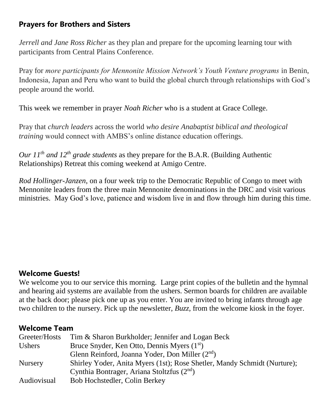#### **Prayers for Brothers and Sisters**

*Jerrell and Jane Ross Richer* as they plan and prepare for the upcoming learning tour with participants from Central Plains Conference.

Pray for *more participants for Mennonite Mission Network's Youth Venture programs* in Benin, Indonesia, Japan and Peru who want to build the global church through relationships with God's people around the world.

This week we remember in prayer *Noah Richer* who is a student at Grace College.

Pray that *church leaders* across the world *who desire Anabaptist biblical and theological training* would connect with AMBS's online distance education offerings.

*Our 11th and 12th grade students* as they prepare for the B.A.R. (Building Authentic Relationships) Retreat this coming weekend at Amigo Centre.

*Rod Hollinger-Janzen*, on a four week trip to the Democratic Republic of Congo to meet with Mennonite leaders from the three main Mennonite denominations in the DRC and visit various ministries. May God's love, patience and wisdom live in and flow through him during this time.

#### **Welcome Guests!**

We welcome you to our service this morning. Large print copies of the bulletin and the hymnal and hearing aid systems are available from the ushers. Sermon boards for children are available at the back door; please pick one up as you enter. You are invited to bring infants through age two children to the nursery. Pick up the newsletter, *Buzz,* from the welcome kiosk in the foyer.

#### **Welcome Team**

| Greeter/Hosts  | Tim & Sharon Burkholder; Jennifer and Logan Beck                         |
|----------------|--------------------------------------------------------------------------|
| Ushers         | Bruce Snyder, Ken Otto, Dennis Myers $(1st)$                             |
|                | Glenn Reinford, Joanna Yoder, Don Miller (2 <sup>nd</sup> )              |
| <b>Nursery</b> | Shirley Yoder, Anita Myers (1st); Rose Shetler, Mandy Schmidt (Nurture); |
|                | Cynthia Bontrager, Ariana Stoltzfus $(2nd)$                              |
| Audiovisual    | Bob Hochstedler, Colin Berkey                                            |